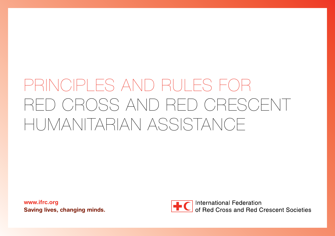www.ifrc.org Saving lives, changing minds.

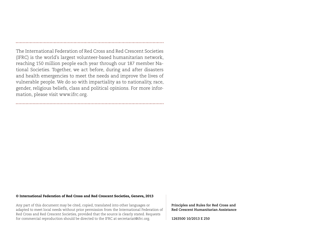The International Federation of Red Cross and Red Crescent Societies (IFRC) is the world's largest volunteer-based humanitarian network, reaching 150 million people each year through our 187 member National Societies. Together, we act before, during and after disasters and health emergencies to meet the needs and improve the lives of vulnerable people. We do so with impartiality as to nationality, race, gender, religious beliefs, class and political opinions. For more information, please visit www.ifrc.org.

#### © International Federation of Red Cross and Red Crescent Societies, Geneva, 2013

Any part of this document may be cited, copied, translated into other languages or adapted to meet local needs without prior permission from the International Federation of Red Cross and Red Crescent Societies, provided that the source is clearly stated. Requests for commercial reproduction should be directed to the IFRC at secretariat@ifrc.org.

**Principles and Rules for Red Cross and Red Crescent Humanitarian Assistance**

**1263500 10/2013 E 250**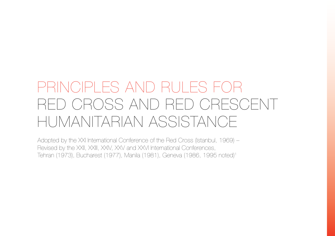Adopted by the XXI International Conference of the Red Cross (Istanbul, 1969) – Revised by the XXII, XXIII, XXIV, XXV and XXVI International Conferences, Tehran (1973), Bucharest (1977), Manila (1981), Geneva (1986, 1995 noted)1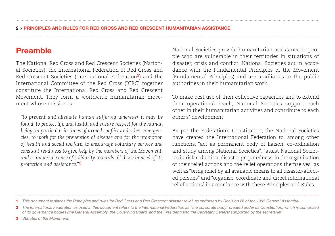## Preamble

The National Red Cross and Red Crescent Societies (National Societies), the International Federation of Red Cross and Red Crescent Societies (International Federation2) and the International Committee of the Red Cross (ICRC) together constitute the International Red Cross and Red Crescent Movement. They form a worldwide humanitarian movement whose mission is:

*"to prevent and alleviate human suffering wherever it may be found, to protect life and health and ensure respect for the human being, in particular in times of armed conflict and other emergencies, to work for the prevention of disease and for the promotion of health and social welfare, to encourage voluntary service and constant readiness to give help by the members of the Movement, and a universal sense of solidarity towards all those in need of its protection and assistance."*<sup>3</sup>

National Societies provide humanitarian assistance to people who are vulnerable in their territories in situations of disaster, crisis and conflict. National Societies act in accordance with the Fundamental Principles of the Movement (Fundamental Principles) and are auxiliaries to the public authorities in their humanitarian work.

To make best use of their collective capacities and to extend their operational reach, National Societies support each other in their humanitarian activities and contribute to each other's' development.

As per the Federation's Constitution, the National Societies have created the International Federation to, among other functions, "act as permanent body of liaison, co-ordination and study among National Societies", "assist National Societies in risk reduction, disaster preparedness, in the organization of their relief actions and the relief operations themselves" as well as "bring relief by all available means to all disaster-affected persons" and "organize, coordinate and direct international relief actions" in accordance with these Principles and Rules.

3 *Statutes of the Movement.*

<sup>1</sup> *This document replaces the Principles and rules for Red Cross and Red Crescent disaster relief, as endorsed by Decision 26 of the 1995 General Assembly.* 

<sup>2</sup> *The International Federation as used in this document refers to the International Federation as "the corporate body" created under its Constitution, which is comprised of its governance bodies (the General Assembly, the Governing Board, and the President) and the Secretary General supported by the secretariat.*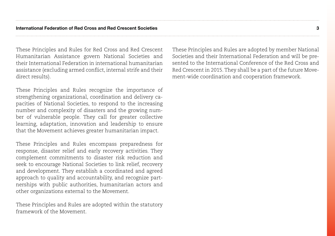These Principles and Rules for Red Cross and Red Crescent Humanitarian Assistance govern National Societies and their International Federation in international humanitarian assistance (excluding armed conflict, internal strife and their direct results).

These Principles and Rules recognize the importance of strengthening organizational, coordination and delivery capacities of National Societies, to respond to the increasing number and complexity of disasters and the growing number of vulnerable people. They call for greater collective learning, adaptation, innovation and leadership to ensure that the Movement achieves greater humanitarian impact.

These Principles and Rules encompass preparedness for response, disaster relief and early recovery activities. They complement commitments to disaster risk reduction and seek to encourage National Societies to link relief, recovery and development. They establish a coordinated and agreed approach to quality and accountability, and recognize partnerships with public authorities, humanitarian actors and other organizations external to the Movement.

These Principles and Rules are adopted within the statutory framework of the Movement.

These Principles and Rules are adopted by member National Societies and their International Federation and will be presented to the International Conference of the Red Cross and Red Crescent in 2015. They shall be a part of the future Movement-wide coordination and cooperation framework.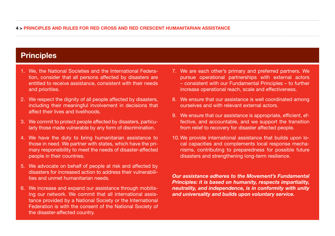## **Principles**

- 1. We, the National Societies and the International Federation, consider that all persons affected by disasters are entitled to receive assistance, consistent with their needs and priorities.
- 2. We respect the dignity of all people affected by disasters, including their meaningful involvement in decisions that affect their lives and livelihoods.
- 3. We commit to protect people affected by disasters, particularly those made vulnerable by any form of discrimination.
- 4. We have the duty to bring humanitarian assistance to those in need. We partner with states, which have the primary responsibility to meet the needs of disaster-affected people in their countries.
- 5. We advocate on behalf of people at risk and affected by disasters for increased action to address their vulnerabilities and unmet humanitarian needs.
- 6. We increase and expand our assistance through mobilising our network. We commit that all international assistance provided by a National Society or the International Federation is with the consent of the National Society of the disaster-affected country.
- 7. We are each other's primary and preferred partners. We pursue operational partnerships with external actors – consistent with our Fundamental Principles – to further increase operational reach, scale and effectiveness.
- 8. We ensure that our assistance is well coordinated among ourselves and with relevant external actors.
- 9. We ensure that our assistance is appropriate, efficient, effective, and accountable, and we support the transition from relief to recovery for disaster affected people.
- 10. We provide international assistance that builds upon local capacities and complements local response mechanisms, contributing to preparedness for possible future disasters and strengthening long-term resilience.

*Our assistance adheres to the Movement's Fundamental Principles: it is based on humanity, respects impartiality, neutrality, and independence, is in conformity with unity and universality and builds upon voluntary service.*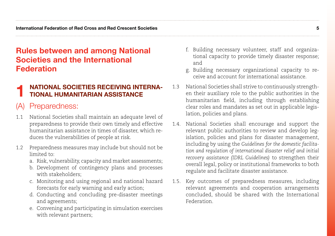## Rules between and among National Societies and the International Federation

## **NATIONAL SOCIETIES RECEIVING INTERNA-**TIONAL HUMANITARIAN ASSISTANCE

## (A) Preparedness:

- 1.1 National Societies shall maintain an adequate level of preparedness to provide their own timely and effective humanitarian assistance in times of disaster, which reduces the vulnerabilities of people at risk.
- 1.2 Preparedness measures may include but should not be limited to:
	- a. Risk, vulnerability, capacity and market assessments;
	- b. Development of contingency plans and processes with stakeholders;
	- c. Monitoring and using regional and national hazard forecasts for early warning and early action;
	- d. Conducting and concluding pre-disaster meetings and agreements;
	- e. Convening and participating in simulation exercises with relevant partners;
- f. Building necessary volunteer, staff and organizational capacity to provide timely disaster response; and
- g. Building necessary organizational capacity to receive and account for international assistance.
- 1.3 National Societies shall strive to continuously strengthen their auxiliary role to the public authorities in the humanitarian field, including through establishing clear roles and mandates as set out in applicable legislation, policies and plans.
- 1.4. National Societies shall encourage and support the relevant public authorities to review and develop legislation, policies and plans for disaster management, including by using the *Guidelines for the domestic facilitation and regulation of international disaster relief and initial recovery assistance (IDRL Guidelines)* to strengthen their overall legal, policy or institutional frameworks to both regulate and facilitate disaster assistance.
- 1.5. Key outcomes of preparedness measures, including relevant agreements and cooperation arrangements concluded, should be shared with the International Federation.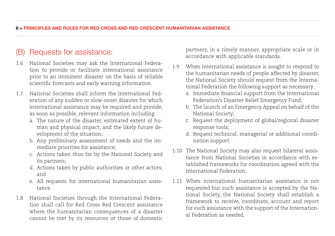## (B) Requests for assistance:

- 1.6 National Societies may ask the International Federation to provide or facilitate international assistance prior to an imminent disaster on the basis of reliable scientific forecasts and early warning information.
- 1.7 National Societies shall inform the International Federation of any sudden or slow-onset disaster for which international assistance may be required and provide, as soon as possible, relevant information including:
	- a. The nature of the disaster, estimated extent of human and physical impact, and the likely future development of the situation;
	- b. Any preliminary assessment of needs and the immediate priorities for assistance;
	- c. Actions taken thus far by the National Society and its partners;
	- d. Actions taken by public authorities or other actors; and
	- e. All requests for international humanitarian assistance.
- 1.8 National Societies through the International Federation shall call for Red Cross Red Crescent assistance where the humanitarian consequences of a disaster cannot be met by its resources or those of domestic

partners, in a timely manner, appropriate scale or in accordance with applicable standards.

- 1.9 When international assistance is sought to respond to the humanitarian needs of people affected by disaster, the National Society should request from the International Federation the following support as necessary:
	- a. Immediate financial support from the International Federation's Disaster Relief Emergency Fund;
	- b. The launch of an Emergency Appeal on behalf of the National Society;
	- c. Request the deployment of global/regional disaster response tools;
	- d. Request technical, managerial or additional coordination support.
- 1.10 The National Society may also request bilateral assistance from National Societies in accordance with established frameworks for coordination agreed with the International Federation.
- 1.11 When international humanitarian assistance is not requested but such assistance is accepted by the National Society, the National Society shall establish a framework to receive, coordinate, account and report for such assistance with the support of the International Federation as needed.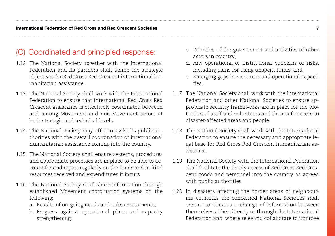## (C) Coordinated and principled response:

- 1.12 The National Society, together with the International Federation and its partners shall define the strategic objectives for Red Cross Red Crescent international humanitarian assistance.
- 1.13 The National Society shall work with the International Federation to ensure that international Red Cross Red Crescent assistance is effectively coordinated between and among Movement and non-Movement actors at both strategic and technical levels.
- 1.14 The National Society may offer to assist its public authorities with the overall coordination of international humanitarian assistance coming into the country.
- 1.15 The National Society shall ensure systems, procedures and appropriate processes are in place to be able to account for and report regularly on the funds and in-kind resources received and expenditures it incurs.
- 1.16 The National Society shall share information through established Movement coordination systems on the following:
	- a. Results of on-going needs and risks assessments;
	- b. Progress against operational plans and capacity strengthening;
- c. Priorities of the government and activities of other actors in country;
- d. Any operational or institutional concerns or risks, including plans for using unspent funds; and
- e. Emerging gaps in resources and operational capacities.
- 1.17 The National Society shall work with the International Federation and other National Societies to ensure appropriate security frameworks are in place for the protection of staff and volunteers and their safe access to disaster-affected areas and people.
- 1.18 The National Society shall work with the International Federation to ensure the necessary and appropriate legal base for Red Cross Red Crescent humanitarian assistance.
- 1.19 The National Society with the International Federation shall facilitate the timely access of Red Cross Red Crescent goods and personnel into the country as agreed with public authorities.
- 1.20 In disasters affecting the border areas of neighbouring countries the concerned National Societies shall ensure continuous exchange of information between themselves either directly or through the International Federation and, where relevant, collaborate to improve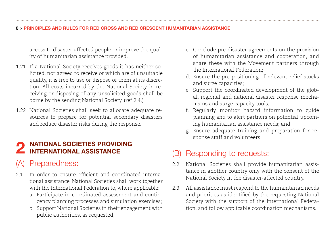### 8 > PRINCIPLES AND RULES FOR RED CROSS AND RED CRESCENT HUMANITARIAN ASSISTANCE

access to disaster-affected people or improve the quality of humanitarian assistance provided.

- 1.21 If a National Society receives goods it has neither solicited, nor agreed to receive or which are of unsuitable quality, it is free to use or dispose of them at its discretion. All costs incurred by the National Society in receiving or disposing of any unsolicited goods shall be borne by the sending National Society. (ref 2.4.)
- 1.22 National Societies shall seek to allocate adequate resources to prepare for potential secondary disasters and reduce disaster risks during the response.

# 2 NATIONAL SOCIETIES PROVIDING<br>2 INTERNATIONAL ASSISTANCE

## (A) Preparedness:

- 2.1 In order to ensure efficient and coordinated international assistance, National Societies shall work together with the International Federation to, where applicable:
	- a. Participate in coordinated assessment and contingency planning processes and simulation exercises;
	- b. Support National Societies in their engagement with public authorities, as requested;
- c. Conclude pre-disaster agreements on the provision of humanitarian assistance and cooperation, and share these with the Movement partners through the International Federation;
- d. Ensure the pre-positioning of relevant relief stocks and surge capacities;
- e. Support the coordinated development of the global, regional and national disaster response mechanisms and surge capacity tools;
- f. Regularly monitor hazard information to guide planning and to alert partners on potential upcoming humanitarian assistance needs; and
- g. Ensure adequate training and preparation for response staff and volunteers.

## (B) Responding to requests:

- 2.2 National Societies shall provide humanitarian assistance in another country only with the consent of the National Society in the disaster-affected country.
- 2.3 All assistance must respond to the humanitarian needs and priorities as identified by the requesting National Society with the support of the International Federation, and follow applicable coordination mechanisms.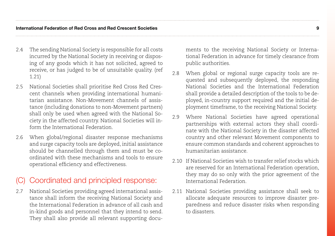- 2.4 The sending National Society is responsible for all costs incurred by the National Society in receiving or disposing of any goods which it has not solicited, agreed to receive, or has judged to be of unsuitable quality. (ref 1.21)
- 2.5 National Societies shall prioritise Red Cross Red Crescent channels when providing international humanitarian assistance. Non-Movement channels of assistance (including donations to non-Movement partners) shall only be used when agreed with the National Society in the affected country. National Societies will inform the International Federation.
- 2.6 When global/regional disaster response mechanisms and surge capacity tools are deployed, initial assistance should be channelled through them and must be coordinated with these mechanisms and tools to ensure operational efficiency and effectiveness.

## Coordinated and principled response:

2.7 National Societies providing agreed international assistance shall inform the receiving National Society and the International Federation in advance of all cash and in-kind goods and personnel that they intend to send. They shall also provide all relevant supporting documents to the receiving National Society or International Federation in advance for timely clearance from public authorities.

- 2.8 When global or regional surge capacity tools are requested and subsequently deployed, the responding National Societies and the International Federation shall provide a detailed description of the tools to be deployed, in-country support required and the initial deployment timeframe, to the receiving National Society.
- 2.9 Where National Societies have agreed operational partnerships with external actors they shall coordinate with the National Society in the disaster affected country and other relevant Movement components to ensure common standards and coherent approaches to humanitarian assistance.
- 2.10 If National Societies wish to transfer relief stocks which are reserved for an International Federation operation, they may do so only with the prior agreement of the International Federation.
- 2.11 National Societies providing assistance shall seek to allocate adequate resources to improve disaster preparedness and reduce disaster risks when responding to disasters.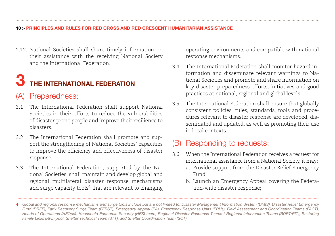2.12. National Societies shall share timely information on their assistance with the receiving National Society and the International Federation.

## THE INTERNATIONAL FEDERATION

## (A) Preparedness:

- 3.1 The International Federation shall support National Societies in their efforts to reduce the vulnerabilities of disaster-prone people and improve their resilience to disasters.
- 3.2 The International Federation shall promote and support the strengthening of National Societies' capacities to improve the efficiency and effectiveness of disaster response.
- 3.3 The International Federation, supported by the National Societies, shall maintain and develop global and regional multilateral disaster response mechanisms and surge capacity tools<sup>4</sup> that are relevant to changing

operating environments and compatible with national response mechanisms.

- 3.4 The International Federation shall monitor hazard information and disseminate relevant warnings to National Societies and promote and share information on key disaster preparedness efforts, initiatives and good practices at national, regional and global levels.
- 3.5 The International Federation shall ensure that globally consistent policies, rules, standards, tools and procedures relevant to disaster response are developed, disseminated and updated, as well as promoting their use in local contexts.

## (B) Responding to requests:

- 3.6 When the International Federation receives a request for international assistance from a National Society, it may:
	- a. Provide support from the Disaster Relief Emergency Fund;
	- b. Launch an Emergency Appeal covering the Federation-wide disaster response;

<sup>4</sup> *Global and regional response mechanisms and surge tools include but are not limited to: Disaster Management Information System (DMIS), Disaster Relief Emergency Fund (DREF), Early Recovery Surge Team (FERST), Emergency Appeal (EA), Emergency Response Units (ERUs), Field Assessment and Coordination Teams (FACT), Heads of Operations (HEOps), Household Economic Security (HES) team, Regional Disaster Response Teams / Regional Intervention Teams (RDRT/RIT), Restoring Family Links (RFL) pool, Shelter Technical Team (STT), and Shelter Coordination Team (SCT).*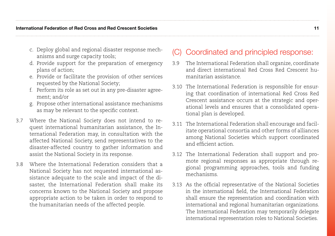- c. Deploy global and regional disaster response mechanisms and surge capacity tools;
- d. Provide support for the preparation of emergency plans of action;
- e. Provide or facilitate the provision of other services requested by the National Society;
- f. Perform its role as set out in any pre-disaster agreement; and/or
- g. Propose other international assistance mechanisms as may be relevant to the specific context.
- 3.7 Where the National Society does not intend to request international humanitarian assistance, the International Federation may, in consultation with the affected National Society, send representatives to the disaster-affected country to gather information and assist the National Society in its response.
- 3.8 Where the International Federation considers that a National Society has not requested international assistance adequate to the scale and impact of the disaster, the International Federation shall make its concerns known to the National Society and propose appropriate action to be taken in order to respond to the humanitarian needs of the affected people.

## (C) Coordinated and principled response:

- 3.9 The International Federation shall organize, coordinate and direct international Red Cross Red Crescent humanitarian assistance.
- 3.10 The International Federation is responsible for ensuring that coordination of international Red Cross Red Crescent assistance occurs at the strategic and operational levels and ensures that a consolidated operational plan is developed.
- 3.11 The International Federation shall encourage and facilitate operational consortia and other forms of alliances among National Societies which support coordinated and efficient action.
- 3.12 The International Federation shall support and promote regional responses as appropriate through regional programming approaches, tools and funding mechanisms.
- 3.13 As the official representative of the National Societies in the international field, the International Federation shall ensure the representation and coordination with international and regional humanitarian organizations. The International Federation may temporarily delegate international representation roles to National Societies.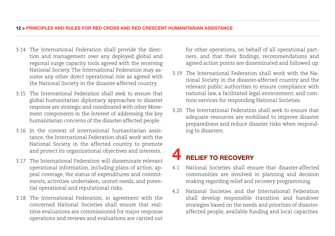- 3.14 The International Federation shall provide the direction and management over any deployed global and regional surge capacity tools agreed with the receiving National Society. The International Federation may assume any other direct operational role as agreed with the National Society in the disaster-affected country.
- 3.15 The International Federation shall seek to ensure that global humanitarian diplomacy approaches to disaster response are strategic and coordinated with other Movement components in the interest of addressing the key humanitarian concerns of the disaster-affected people.
- 3.16 In the context of international humanitarian assistance, the International Federation shall work with the National Society in the affected country to promote and protect its organizational objectives and interests.
- 3.17 The International Federation will disseminate relevant operational information, including plans of action, appeal coverage, the status of expenditures and commitments, activities undertaken, unmet needs, and potential operational and reputational risks.
- 3.18 The International Federation, in agreement with the concerned National Societies shall ensure that realtime evaluations are commissioned for major response operations and reviews and evaluations are carried out

for other operations, on behalf of all operational partners, and that their findings, recommendations and agreed action points are disseminated and followed up.

- 3.19 The International Federation shall work with the National Society in the disaster-affected country and the relevant public authorities to ensure compliance with national law, a facilitated legal environment, and common services for responding National Societies.
- 3.20 The International Federation shall seek to ensure that adequate resources are mobilised to improve disaster preparedness and reduce disaster risks when responding to disasters.

## **BELIEF TO RECOVERY**

- 4.1 National Societies shall ensure that disaster-affected communities are involved in planning and decision making regarding relief and recovery programming.
- 4.2 National Societies and the International Federation shall develop responsible transition and handover strategies based on the needs and priorities of disasteraffected people, available funding and local capacities.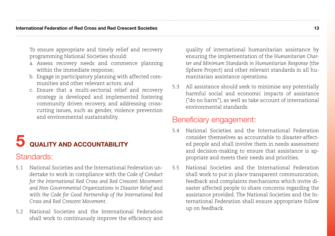To ensure appropriate and timely relief and recovery programming National Societies should:

- a. Assess recovery needs and commence planning within the immediate response;
- b. Engage in participatory planning with affected communities and other relevant actors; and
- c. Ensure that a multi-sectorial relief and recovery strategy is developed and implemented fostering community driven recovery, and addressing crosscutting issues, such as gender, violence prevention and environmental sustainability.

## **5** QUALITY AND ACCOUNTABILITY

## Standards:

- 5.1 National Societies and the International Federation undertake to work in compliance with the *Code of Conduct for the International Red Cross and Red Crescent Movement*  and Non-Governmental Organizations in Disaster Relief and with *the Code for Good Partnership of the International Red Cross and Red Crescent Movement.*
- 5.2 National Societies and the International Federation shall work to continuously improve the efficiency and

quality of international humanitarian assistance by ensuring the implementation of the *Humanitarian Charter and Minimum Standards in Humanitarian Response* (the Sphere Project) and other relevant standards in all humanitarian assistance operations.

5.3 All assistance should seek to minimise any potentially harmful social and economic impacts of assistance ("do no harm"), as well as take account of international environmental standards.

## Beneficiary engagement:

- 5.4 National Societies and the International Federation consider themselves as accountable to disaster-affected people and shall involve them in needs assessment and decision-making to ensure that assistance is appropriate and meets their needs and priorities.
- 5.5 National Societies and the International Federation shall work to put in place transparent communication, feedback and complaints mechanisms which invite disaster affected people to share concerns regarding the assistance provided. The National Societies and the International Federation shall ensure appropriate follow up on feedback.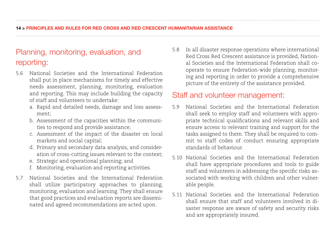## Planning, monitoring, evaluation, and reporting:

- 5.6 National Societies and the International Federation shall put in place mechanisms for timely and effective needs assessment, planning, monitoring, evaluation and reporting. This may include building the capacity of staff and volunteers to undertake:
	- a. Rapid and detailed needs, damage and loss assessment;
	- b. Assessment of the capacities within the communities to respond and provide assistance;
	- c. Assessment of the impact of the disaster on local markets and social capital;
	- d. Primary and secondary data analysis, and consideration of cross-cutting issues relevant to the context;
	- e. Strategic and operational planning; and
	- f. Monitoring, evaluation and reporting activities.
- 5.7 National Societies and the International Federation shall utilize participatory approaches to planning, monitoring, evaluation and learning. They shall ensure that good practices and evaluation reports are disseminated and agreed recommendations are acted upon.

5.8 In all disaster response operations where international Red Cross Red Crescent assistance is provided, National Societies and the International Federation shall cooperate to ensure Federation-wide planning, monitoring and reporting in order to provide a comprehensive picture of the entirety of the assistance provided.

## Staff and volunteer management:

- 5.9 National Societies and the International Federation shall seek to employ staff and volunteers with appropriate technical qualifications and relevant skills and ensure access to relevant training and support for the tasks assigned to them. They shall be required to commit to staff codes of conduct ensuring appropriate standards of behaviour.
- 5.10 National Societies and the International Federation shall have appropriate procedures and tools to guide staff and volunteers in addressing the specific risks associated with working with children and other vulnerable people.
- 5.11 National Societies and the International Federation shall ensure that staff and volunteers involved in disaster response are aware of safety and security risks and are appropriately insured.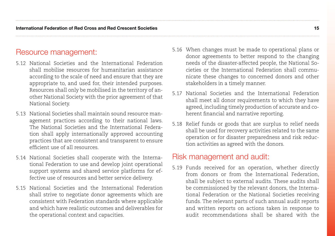## Resource management:

- 5.12 National Societies and the International Federation shall mobilise resources for humanitarian assistance according to the scale of need and ensure that they are appropriate to, and used for, their intended purposes. Resources shall only be mobilised in the territory of another National Society with the prior agreement of that National Society.
- 5.13 National Societies shall maintain sound resource management practices according to their national laws. The National Societies and the International Federation shall apply internationally approved accounting practices that are consistent and transparent to ensure efficient use of all resources.
- 5.14 National Societies shall cooperate with the International Federation to use and develop joint operational support systems and shared service platforms for effective use of resources and better service delivery.
- 5.15 National Societies and the International Federation shall strive to negotiate donor agreements which are consistent with Federation standards where applicable and which have realistic outcomes and deliverables for the operational context and capacities.
- 5.16 When changes must be made to operational plans or donor agreements to better respond to the changing needs of the disaster-affected people, the National Societies or the International Federation shall communicate these changes to concerned donors and other stakeholders in a timely manner.
- 5.17 National Societies and the International Federation shall meet all donor requirements to which they have agreed, including timely production of accurate and coherent financial and narrative reporting.
- 5.18 Relief funds or goods that are surplus to relief needs shall be used for recovery activities related to the same operation or for disaster preparedness and risk reduction activities as agreed with the donors.

## Risk management and audit:

5.19 Funds received for an operation, whether directly from donors or from the International Federation, shall be subject to external audits. These audits shall be commissioned by the relevant donors, the International Federation or the National Societies receiving funds. The relevant parts of such annual audit reports and written reports on actions taken in response to audit recommendations shall be shared with the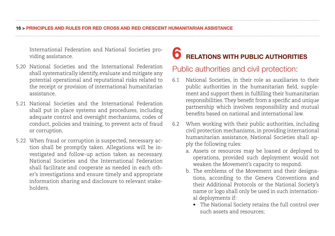International Federation and National Societies providing assistance.

- 5.20 National Societies and the International Federation shall systematically identify, evaluate and mitigate any potential operational and reputational risks related to the receipt or provision of international humanitarian assistance.
- 5.21 National Societies and the International Federation shall put in place systems and procedures, including adequate control and oversight mechanisms, codes of conduct, policies and training, to prevent acts of fraud or corruption.
- 5.22 When fraud or corruption is suspected, necessary action shall be promptly taken. Allegations will be investigated and follow-up action taken as necessary. National Societies and the International Federation shall facilitate and cooperate as needed in each other's investigations and ensure timely and appropriate information sharing and disclosure to relevant stakeholders.

## **6** RELATIONS WITH PUBLIC AUTHORITIES

## Public authorities and civil protection:

- 6.1 National Societies, in their role as auxiliaries to their public authorities in the humanitarian field, supplement and support them in fulfilling their humanitarian responsibilities. They benefit from a specific and unique partnership which involves responsibility and mutual benefits based on national and international law.
- 6.2 When working with their public authorities, including civil protection mechanisms, in providing international humanitarian assistance, National Societies shall apply the following rules:
	- a. Assets or resources may be loaned or deployed to operations, provided such deployment would not weaken the Movement's capacity to respond.
	- b. The emblems of the Movement and their designations, according to the Geneva Conventions and their Additional Protocols or the National Society's name or logo shall only be used in such international deployments if:
		- The National Society retains the full control over such assets and resources;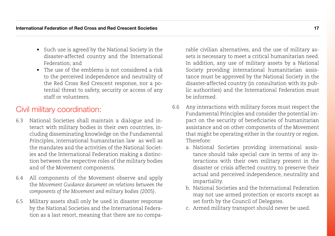- Such use is agreed by the National Society in the disaster-affected country and the International Federation; and
- • The use of the emblems is not considered a risk to the perceived independence and neutrality of the Red Cross Red Crescent response, nor a potential threat to safety, security or access of any staff or volunteers.

## Civil military coordination:

- 6.3 National Societies shall maintain a dialogue and interact with military bodies in their own countries, including disseminating knowledge on the Fundamental Principles, international humanitarian law as well as the mandates and the activities of the National Societies and the International Federation making a distinction between the respective roles of the military bodies and of the Movement components.
- 6.4 All components of the Movement observe and apply the *Movement Guidance document on relations between the components of the Movement and military bodies (2005)*.
- 6.5 Military assets shall only be used in disaster response by the National Societies and the International Federation as a last resort, meaning that there are no compa-

rable civilian alternatives, and the use of military assets is necessary to meet a critical humanitarian need. In addition, any use of military assets by a National Society providing international humanitarian assistance must be approved by the National Society in the disaster-affected country (in consultation with its public authorities) and the International Federation must be informed.

- 6.6 Any interactions with military forces must respect the Fundamental Principles and consider the potential impact on the security of beneficiaries of humanitarian assistance and on other components of the Movement that might be operating either in the country or region. Therefore:
	- a. National Societies providing international assistance should take special care in terms of any interactions with their own military present in the disaster or crisis affected country, to preserve their actual and perceived independence, neutrality and impartiality.
	- b. National Societies and the International Federation may not use armed protection or escorts except as set forth by the Council of Delegates.
	- c. Armed military transport should never be used.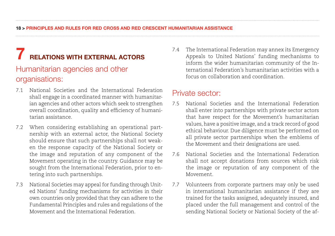## 7 relations with external actors

## Humanitarian agencies and other organisations:

- 7.1 National Societies and the International Federation shall engage in a coordinated manner with humanitarian agencies and other actors which seek to strengthen overall coordination, quality and efficiency of humanitarian assistance.
- 7.2 When considering establishing an operational partnership with an external actor, the National Society should ensure that such partnerships shall not weaken the response capacity of the National Society or the image and reputation of any component of the Movement operating in the country. Guidance may be sought from the International Federation, prior to entering into such partnerships.
- 7.3 National Societies may appeal for funding through United Nations' funding mechanisms for activities in their own countries only provided that they can adhere to the Fundamental Principles and rules and regulations of the Movement and the International Federation.

7.4 The International Federation may annex its Emergency Appeals to United Nations' funding mechanisms to inform the wider humanitarian community of the International Federation's humanitarian activities with a focus on collaboration and coordination.

## Private sector:

- 7.5 National Societies and the International Federation shall enter into partnerships with private sector actors that have respect for the Movement's humanitarian values, have a positive image, and a track record of good ethical behaviour. Due diligence must be performed on all private sector partnerships when the emblems of the Movement and their designations are used.
- 7.6 National Societies and the International Federation shall not accept donations from sources which risk the image or reputation of any component of the Movement.
- 7.7 Volunteers from corporate partners may only be used in international humanitarian assistance if they are trained for the tasks assigned, adequately insured, and placed under the full management and control of the sending National Society or National Society of the af-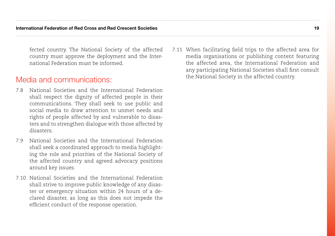fected country. The National Society of the affected country must approve the deployment and the International Federation must be informed.

## Media and communications:

- 7.8 National Societies and the International Federation shall respect the dignity of affected people in their communications. They shall seek to use public and social media to draw attention to unmet needs and rights of people affected by and vulnerable to disasters and to strengthen dialogue with those affected by disasters.
- 7.9 National Societies and the International Federation shall seek a coordinated approach to media highlighting the role and priorities of the National Society of the affected country and agreed advocacy positions around key issues.
- 7.10 National Societies and the International Federation shall strive to improve public knowledge of any disaster or emergency situation within 24 hours of a declared disaster, as long as this does not impede the efficient conduct of the response operation.

7.11 When facilitating field trips to the affected area for media organisations or publishing content featuring the affected area, the International Federation and any participating National Societies shall first consult the National Society in the affected country.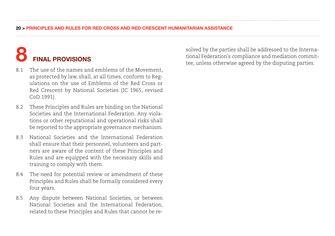# **FINAL PROVISIONS**

- 8.1 The use of the names and emblems of the Movement as protected by law, shall, at all times, conform to Regulations on the use of Emblems of the Red Cross or Red Crescent by National Societies (IC 1965, revised CoD 1991).
- 8.2 These Principles and Rules are binding on the National Societies and the International Federation. Any violations or other reputational and operational risks shall be reported to the appropriate governance mechanism.
- 8.3 National Societies and the International Federation shall ensure that their personnel, volunteers and partners are aware of the content of these Principles and Rules and are equipped with the necessary skills and training to comply with them.
- 8.4 The need for potential review or amendment of these Principles and Rules shall be formally considered every four years.
- 8.5 Any dispute between National Societies, or between National Societies and the International Federation, related to these Principles and Rules that cannot be re-

solved by the parties shall be addressed to the International Federation's compliance and mediation committee, unless otherwise agreed by the disputing parties.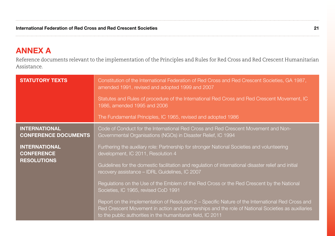## ANNEX A

Reference documents relevant to the implementation of the Principles and Rules for Red Cross and Red Crescent Humanitarian Assistance.

| <b>STATUTORY TEXTS</b>                                          | Constitution of the International Federation of Red Cross and Red Crescent Societies, GA 1987,<br>amended 1991, revised and adopted 1999 and 2007                                                                                                                       |
|-----------------------------------------------------------------|-------------------------------------------------------------------------------------------------------------------------------------------------------------------------------------------------------------------------------------------------------------------------|
|                                                                 | Statutes and Rules of procedure of the International Red Cross and Red Crescent Movement, IC<br>1986, amended 1995 and 2006                                                                                                                                             |
|                                                                 | The Fundamental Principles, IC 1965, revised and adopted 1986                                                                                                                                                                                                           |
| <b>INTERNATIONAL</b><br><b>CONFERENCE DOCUMENTS</b>             | Code of Conduct for the International Red Cross and Red Crescent Movement and Non-<br>Governmental Organisations (NGOs) in Disaster Relief, IC 1994                                                                                                                     |
| <b>INTERNATIONAL</b><br><b>CONFERENCE</b><br><b>RESOLUTIONS</b> | Furthering the auxiliary role: Partnership for stronger National Societies and volunteering<br>development, IC 2011, Resolution 4                                                                                                                                       |
|                                                                 | Guidelines for the domestic facilitation and regulation of international disaster relief and initial<br>recovery assistance - IDRL Guidelines, IC 2007                                                                                                                  |
|                                                                 | Regulations on the Use of the Emblem of the Red Cross or the Red Crescent by the National<br>Societies, IC 1965, revised CoD 1991                                                                                                                                       |
|                                                                 | Report on the implementation of Resolution 2 – Specific Nature of the International Red Cross and<br>Red Crescent Movement in action and partnerships and the role of National Societies as auxiliaries<br>to the public authorities in the humanitarian field, IC 2011 |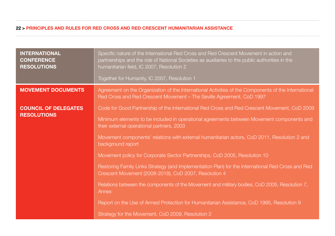| <b>INTERNATIONAL</b><br><b>CONFERENCE</b><br><b>RESOLUTIONS</b> | Specific nature of the International Red Cross and Red Crescent Movement in action and<br>partnerships and the role of National Societies as auxiliaries to the public authorities in the<br>humanitarian field, IC 2007, Resolution 2<br>Together for Humanity, IC 2007, Resolution 1 |
|-----------------------------------------------------------------|----------------------------------------------------------------------------------------------------------------------------------------------------------------------------------------------------------------------------------------------------------------------------------------|
| <b>MOVEMENT DOCUMENTS</b>                                       | Agreement on the Organization of the International Activities of the Components of the International                                                                                                                                                                                   |
|                                                                 | Red Cross and Red Crescent Movement - The Seville Agreement, CoD 1997                                                                                                                                                                                                                  |
| <b>COUNCIL OF DELEGATES</b><br><b>RESOLUTIONS</b>               | Code for Good Partnership of the International Red Cross and Red Crescent Movement, CoD 2009                                                                                                                                                                                           |
|                                                                 | Minimum elements to be included in operational agreements between Movement components and<br>their external operational partners, 2003                                                                                                                                                 |
|                                                                 | Movement components' relations with external humanitarian actors, CoD 2011, Resolution 2 and<br>background report                                                                                                                                                                      |
|                                                                 | Movement policy for Corporate Sector Partnerships, CoD 2005, Resolution 10                                                                                                                                                                                                             |
|                                                                 | Restoring Family Links Strategy (and Implementation Plan) for the International Red Cross and Red<br>Crescent Movement (2008-2018), CoD 2007, Resolution 4                                                                                                                             |
|                                                                 | Relations between the components of the Movement and military bodies, CoD 2005, Resolution 7,<br>Annex                                                                                                                                                                                 |
|                                                                 | Report on the Use of Armed Protection for Humanitarian Assistance, CoD 1995, Resolution 9                                                                                                                                                                                              |
|                                                                 | Strategy for the Movement, CoD 2009, Resolution 2                                                                                                                                                                                                                                      |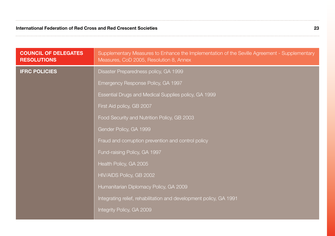| <b>COUNCIL OF DELEGATES</b><br><b>RESOLUTIONS</b> | Supplementary Measures to Enhance the Implementation of the Seville Agreement - Supplementary<br>Measures, CoD 2005, Resolution 8, Annex |
|---------------------------------------------------|------------------------------------------------------------------------------------------------------------------------------------------|
| <b>IFRC POLICIES</b>                              | Disaster Preparedness policy, GA 1999                                                                                                    |
|                                                   | Emergency Response Policy, GA 1997                                                                                                       |
|                                                   | Essential Drugs and Medical Supplies policy, GA 1999                                                                                     |
|                                                   | First Aid policy, GB 2007                                                                                                                |
|                                                   | Food Security and Nutrition Policy, GB 2003                                                                                              |
|                                                   | Gender Policy, GA 1999                                                                                                                   |
|                                                   | Fraud and corruption prevention and control policy                                                                                       |
|                                                   | Fund-raising Policy, GA 1997                                                                                                             |
|                                                   | Health Policy, GA 2005                                                                                                                   |
|                                                   | HIV/AIDS Policy, GB 2002                                                                                                                 |
|                                                   | Humanitarian Diplomacy Policy, GA 2009                                                                                                   |
|                                                   | Integrating relief, rehabilitation and development policy, GA 1991                                                                       |
|                                                   | Integrity Policy, GA 2009                                                                                                                |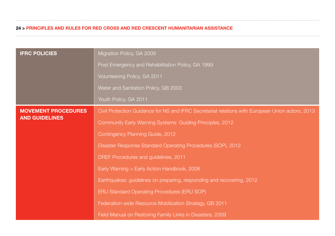| <b>IFRC POLICIES</b>                                | Migration Policy, GA 2009                                                                        |
|-----------------------------------------------------|--------------------------------------------------------------------------------------------------|
|                                                     | Post Emergency and Rehabilitation Policy, GA 1999                                                |
|                                                     | Volunteering Policy, GA 2011                                                                     |
|                                                     | Water and Sanitation Policy, GB 2003                                                             |
|                                                     | Youth Policy, GA 2011                                                                            |
| <b>MOVEMENT PROCEDURES</b><br><b>AND GUIDELINES</b> | Civil Protection Guidance for NS and IFRC Secretariat relations with European Union actors, 2013 |
|                                                     | Community Early Warning Systems: Guiding Principles, 2012                                        |
|                                                     | Contingency Planning Guide, 2012                                                                 |
|                                                     | Disaster Response Standard Operating Procedures (SOP), 2012                                      |
|                                                     | DREF Procedures and guidelines, 2011                                                             |
|                                                     | Early Warning > Early Action Handbook, 2008                                                      |
|                                                     | Earthquakes: guidelines on preparing, responding and recovering, 2012                            |
|                                                     | <b>ERU Standard Operating Procedures (ERU SOP)</b>                                               |
|                                                     | Federation-wide Resource Mobilization Strategy, GB 2011                                          |
|                                                     | Field Manual on Restoring Family Links in Disasters, 2009                                        |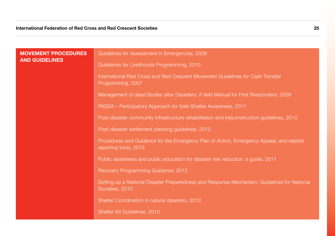| <b>MOVEMENT PROCEDURES</b><br><b>AND GUIDELINES</b> | Guidelines for Assessment in Emergencies, 2008                                                                   |
|-----------------------------------------------------|------------------------------------------------------------------------------------------------------------------|
|                                                     | Guidelines for Livelihoods Programming, 2010                                                                     |
|                                                     | International Red Cross and Red Crescent Movement Guidelines for Cash Transfer<br>Programming, 2007              |
|                                                     | Management of dead Bodies after Disasters: A field Manual for First Responders, 2009                             |
|                                                     | PASSA – Participatory Approach for Safe Shelter Awareness, 2011                                                  |
|                                                     | Post-disaster community infrastructure rehabilitation and (re)construction guidelines, 2012                      |
|                                                     | Post-disaster settlement planning guidelines, 2012                                                               |
|                                                     | Procedures and Guidance for the Emergency Plan of Action, Emergency Appeal, and related<br>reporting tools, 2013 |
|                                                     | Public awareness and public education for disaster risk reduction: a guide, 2011                                 |
|                                                     | Recovery Programming Guidance, 2012                                                                              |
|                                                     | Setting up a National Disaster Preparedness and Response Mechanism: Guidelines for National<br>Societies, 2010   |
|                                                     | Shelter Coordination in natural disasters, 2012                                                                  |
|                                                     | Shelter Kit Guidelines, 2010                                                                                     |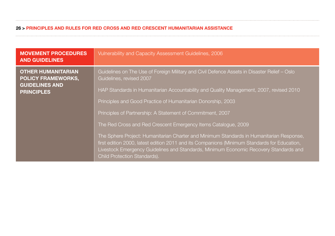| <b>MOVEMENT PROCEDURES</b><br><b>AND GUIDELINES</b>                                                  | Vulnerability and Capacity Assessment Guidelines, 2006                                                                                                                                                                                                                                                                   |
|------------------------------------------------------------------------------------------------------|--------------------------------------------------------------------------------------------------------------------------------------------------------------------------------------------------------------------------------------------------------------------------------------------------------------------------|
| <b>OTHER HUMANITARIAN</b><br><b>POLICY FRAMEWORKS,</b><br><b>GUIDELINES AND</b><br><b>PRINCIPLES</b> | Guidelines on The Use of Foreign Military and Civil Defence Assets in Disaster Relief - Oslo<br>Guidelines, revised 2007                                                                                                                                                                                                 |
|                                                                                                      | HAP Standards in Humanitarian Accountability and Quality Management, 2007, revised 2010                                                                                                                                                                                                                                  |
|                                                                                                      | Principles and Good Practice of Humanitarian Donorship, 2003                                                                                                                                                                                                                                                             |
|                                                                                                      | Principles of Partnership: A Statement of Commitment, 2007                                                                                                                                                                                                                                                               |
|                                                                                                      | The Red Cross and Red Crescent Emergency Items Catalogue, 2009                                                                                                                                                                                                                                                           |
|                                                                                                      | The Sphere Project: Humanitarian Charter and Minimum Standards in Humanitarian Response,<br>first edition 2000, latest edition 2011 and its Companions (Minimum Standards for Education,<br>Livestock Emergency Guidelines and Standards, Minimum Economic Recovery Standards and<br><b>Child Protection Standards).</b> |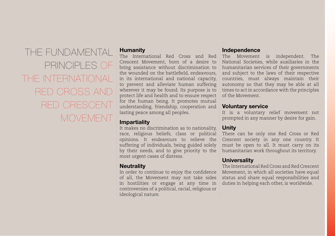The Fundamental Principles of the International Red Cross and Red Crescent **MOVEMENT** 

#### **Humanity**

The International Red Cross and Red Crescent Movement, born of a desire to bring assistance without discrimination to the wounded on the battlefield, endeavours, in its international and national capacity, to prevent and alleviate human suffering wherever it may be found. Its purpose is to protect life and health and to ensure respect for the human being. It promotes mutual understanding, friendship, cooperation and lasting peace among all peoples.

#### **Impartiality**

It makes no discrimination as to nationality, race, religious beliefs, class or political opinions. It endeavours to relieve the suffering of individuals, being guided solely by their needs, and to give priority to the most urgent cases of distress.

### **Neutrality**

In order to continue to enjoy the confidence of all, the Movement may not take sides in hostilities or engage at any time in controversies of a political, racial, religious or ideological nature.

#### Independence

The Movement is independent. The National Societies, while auxiliaries in the humanitarian services of their governments and subject to the laws of their respective countries, must always maintain their autonomy so that they may be able at all times to act in accordance with the principles of the Movement.

#### Voluntary service

It is a voluntary relief movement not prompted in any manner by desire for gain.

### Unity

There can be only one Red Cross or Red Crescent society in any one country. It must be open to all. It must carry on its humanitarian work throughout its territory.

### **Universality**

The International Red Cross and Red Crescent Movement, in which all societies have equal status and share equal responsibilities and duties in helping each other, is worldwide.